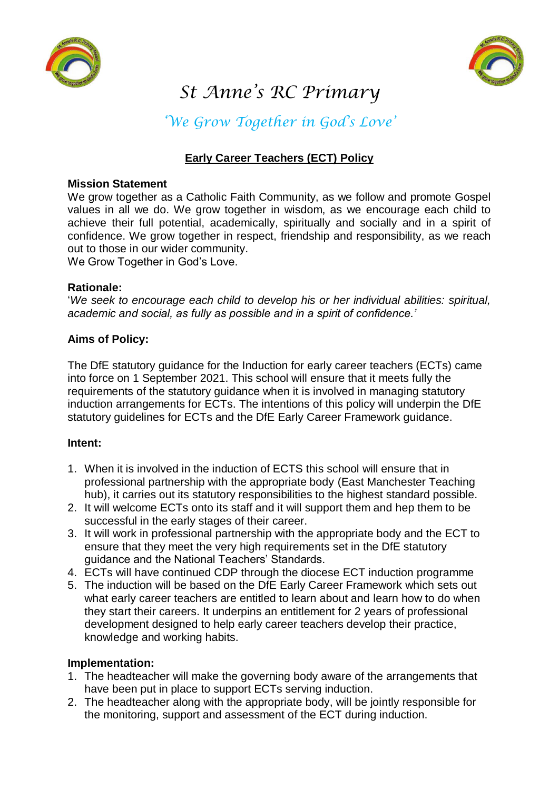



# *St Anne's RC Primary*

*'We Grow Together in God's Love'*

## **Early Career Teachers (ECT) Policy**

## **Mission Statement**

We grow together as a Catholic Faith Community, as we follow and promote Gospel values in all we do. We grow together in wisdom, as we encourage each child to achieve their full potential, academically, spiritually and socially and in a spirit of confidence. We grow together in respect, friendship and responsibility, as we reach out to those in our wider community.

We Grow Together in God's Love.

## **Rationale:**

'*We seek to encourage each child to develop his or her individual abilities: spiritual, academic and social, as fully as possible and in a spirit of confidence.'* 

## **Aims of Policy:**

The DfE statutory guidance for the Induction for early career teachers (ECTs) came into force on 1 September 2021. This school will ensure that it meets fully the requirements of the statutory guidance when it is involved in managing statutory induction arrangements for ECTs. The intentions of this policy will underpin the DfE statutory guidelines for ECTs and the DfE Early Career Framework guidance.

## **Intent:**

- 1. When it is involved in the induction of ECTS this school will ensure that in professional partnership with the appropriate body (East Manchester Teaching hub), it carries out its statutory responsibilities to the highest standard possible.
- 2. It will welcome ECTs onto its staff and it will support them and hep them to be successful in the early stages of their career.
- 3. It will work in professional partnership with the appropriate body and the ECT to ensure that they meet the very high requirements set in the DfE statutory guidance and the National Teachers' Standards.
- 4. ECTs will have continued CDP through the diocese ECT induction programme
- 5. The induction will be based on the DfE Early Career Framework which sets out what early career teachers are entitled to learn about and learn how to do when they start their careers. It underpins an entitlement for 2 years of professional development designed to help early career teachers develop their practice, knowledge and working habits.

## **Implementation:**

- 1. The headteacher will make the governing body aware of the arrangements that have been put in place to support ECTs serving induction.
- 2. The headteacher along with the appropriate body, will be jointly responsible for the monitoring, support and assessment of the ECT during induction.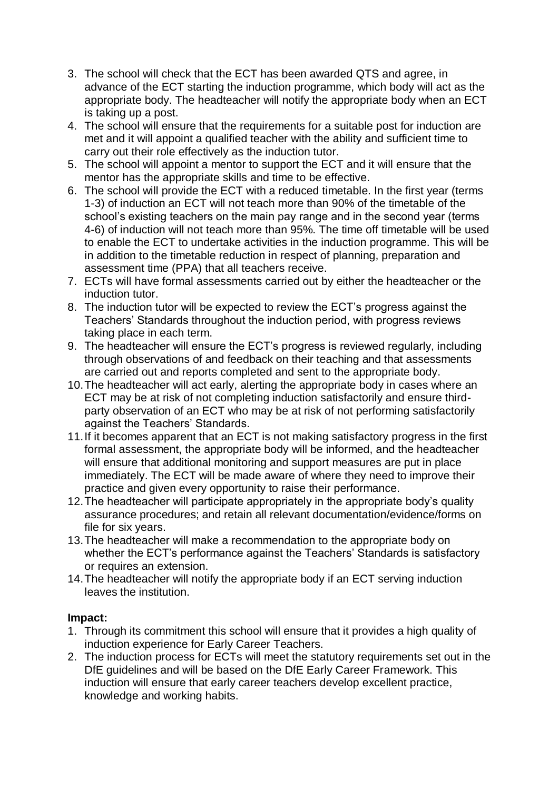- 3. The school will check that the ECT has been awarded QTS and agree, in advance of the ECT starting the induction programme, which body will act as the appropriate body. The headteacher will notify the appropriate body when an ECT is taking up a post.
- 4. The school will ensure that the requirements for a suitable post for induction are met and it will appoint a qualified teacher with the ability and sufficient time to carry out their role effectively as the induction tutor.
- 5. The school will appoint a mentor to support the ECT and it will ensure that the mentor has the appropriate skills and time to be effective.
- 6. The school will provide the ECT with a reduced timetable. In the first year (terms 1-3) of induction an ECT will not teach more than 90% of the timetable of the school's existing teachers on the main pay range and in the second year (terms 4-6) of induction will not teach more than 95%. The time off timetable will be used to enable the ECT to undertake activities in the induction programme. This will be in addition to the timetable reduction in respect of planning, preparation and assessment time (PPA) that all teachers receive.
- 7. ECTs will have formal assessments carried out by either the headteacher or the induction tutor.
- 8. The induction tutor will be expected to review the ECT's progress against the Teachers' Standards throughout the induction period, with progress reviews taking place in each term.
- 9. The headteacher will ensure the ECT's progress is reviewed regularly, including through observations of and feedback on their teaching and that assessments are carried out and reports completed and sent to the appropriate body.
- 10.The headteacher will act early, alerting the appropriate body in cases where an ECT may be at risk of not completing induction satisfactorily and ensure thirdparty observation of an ECT who may be at risk of not performing satisfactorily against the Teachers' Standards.
- 11.If it becomes apparent that an ECT is not making satisfactory progress in the first formal assessment, the appropriate body will be informed, and the headteacher will ensure that additional monitoring and support measures are put in place immediately. The ECT will be made aware of where they need to improve their practice and given every opportunity to raise their performance.
- 12.The headteacher will participate appropriately in the appropriate body's quality assurance procedures; and retain all relevant documentation/evidence/forms on file for six years.
- 13.The headteacher will make a recommendation to the appropriate body on whether the ECT's performance against the Teachers' Standards is satisfactory or requires an extension.
- 14.The headteacher will notify the appropriate body if an ECT serving induction leaves the institution.

## **Impact:**

- 1. Through its commitment this school will ensure that it provides a high quality of induction experience for Early Career Teachers.
- 2. The induction process for ECTs will meet the statutory requirements set out in the DfE guidelines and will be based on the DfE Early Career Framework. This induction will ensure that early career teachers develop excellent practice, knowledge and working habits.